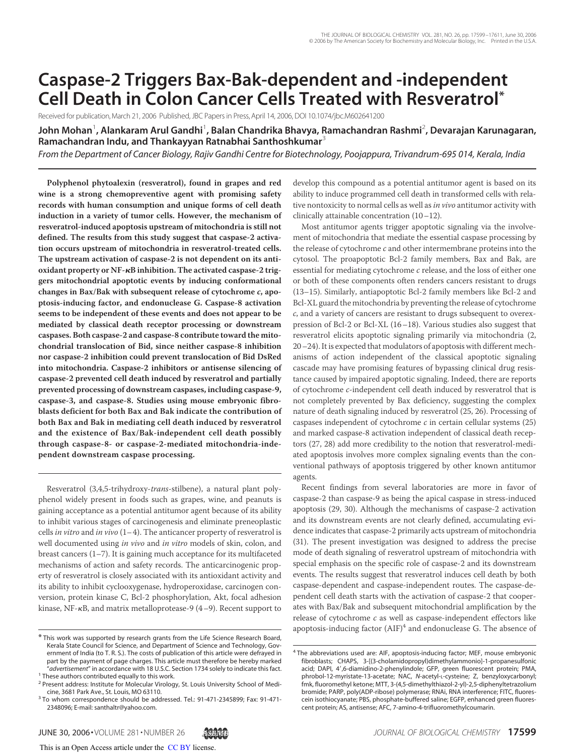# **Caspase-2 Triggers Bax-Bak-dependent and -independent Cell Death in Colon Cancer Cells Treated with Resveratrol\***

Received for publication, March 21, 2006 Published, JBC Papers in Press, April 14, 2006, DOI 10.1074/jbc.M602641200

**John Mohan**<sup>1</sup> **, Alankaram Arul Gandhi**<sup>1</sup> **, Balan Chandrika Bhavya, Ramachandran Rashmi**<sup>2</sup> **, Devarajan Karunagaran, Ramachandran Indu, and Thankayyan Ratnabhai Santhoshkumar**<sup>3</sup>

*From the Department of Cancer Biology, Rajiv Gandhi Centre for Biotechnology, Poojappura, Trivandrum-695 014, Kerala, India*

**Polyphenol phytoalexin (resveratrol), found in grapes and red wine is a strong chemopreventive agent with promising safety records with human consumption and unique forms of cell death induction in a variety of tumor cells. However, the mechanism of resveratrol-induced apoptosis upstream of mitochondria is still not defined. The results from this study suggest that caspase-2 activation occurs upstream of mitochondria in resveratrol-treated cells. The upstream activation of caspase-2 is not dependent on its antioxidant property or NF-B inhibition. The activated caspase-2 triggers mitochondrial apoptotic events by inducing conformational changes in Bax/Bak with subsequent release of cytochrome c, apoptosis-inducing factor, and endonuclease G. Caspase-8 activation seems to be independent of these events and does not appear to be mediated by classical death receptor processing or downstream caspases. Both caspase-2 and caspase-8 contribute toward the mitochondrial translocation of Bid, since neither caspase-8 inhibition nor caspase-2 inhibition could prevent translocation of Bid DsRed into mitochondria. Caspase-2 inhibitors or antisense silencing of caspase-2 prevented cell death induced by resveratrol and partially prevented processing of downstream caspases, including caspase-9, caspase-3, and caspase-8. Studies using mouse embryonic fibroblasts deficient for both Bax and Bak indicate the contribution of both Bax and Bak in mediating cell death induced by resveratrol and the existence of Bax/Bak-independent cell death possibly through caspase-8- or caspase-2-mediated mitochondria-independent downstream caspase processing.**

Resveratrol (3,4,5-trihydroxy-*trans*-stilbene), a natural plant polyphenol widely present in foods such as grapes, wine, and peanuts is gaining acceptance as a potential antitumor agent because of its ability to inhibit various stages of carcinogenesis and eliminate preneoplastic cells *in vitro* and *in vivo* (1–4). The anticancer property of resveratrol is well documented using *in vivo* and *in vitro* models of skin, colon, and breast cancers (1–7). It is gaining much acceptance for its multifaceted mechanisms of action and safety records. The anticarcinogenic property of resveratrol is closely associated with its antioxidant activity and its ability to inhibit cyclooxygenase, hydroperoxidase, carcinogen conversion, protein kinase C, Bcl-2 phosphorylation, Akt, focal adhesion kinase, NF- $\kappa$ B, and matrix metalloprotease-9 (4–9). Recent support to

develop this compound as a potential antitumor agent is based on its ability to induce programmed cell death in transformed cells with relative nontoxicity to normal cells as well as *in vivo* antitumor activity with clinically attainable concentration (10–12).

Most antitumor agents trigger apoptotic signaling via the involvement of mitochondria that mediate the essential caspase processing by the release of cytochrome *c* and other intermembrane proteins into the cytosol. The proapoptotic Bcl-2 family members, Bax and Bak, are essential for mediating cytochrome *c* release, and the loss of either one or both of these components often renders cancers resistant to drugs (13–15). Similarly, antiapoptotic Bcl-2 family members like Bcl-2 and Bcl-XL guard the mitochondria by preventing the release of cytochrome *c*, and a variety of cancers are resistant to drugs subsequent to overexpression of Bcl-2 or Bcl-XL (16–18). Various studies also suggest that resveratrol elicits apoptotic signaling primarily via mitochondria (2, 20–24). It is expected that modulators of apoptosis with different mechanisms of action independent of the classical apoptotic signaling cascade may have promising features of bypassing clinical drug resistance caused by impaired apoptotic signaling. Indeed, there are reports of cytochrome *c*-independent cell death induced by resveratrol that is not completely prevented by Bax deficiency, suggesting the complex nature of death signaling induced by resveratrol (25, 26). Processing of caspases independent of cytochrome *c* in certain cellular systems (25) and marked caspase-8 activation independent of classical death receptors (27, 28) add more credibility to the notion that resveratrol-mediated apoptosis involves more complex signaling events than the conventional pathways of apoptosis triggered by other known antitumor agents.

Recent findings from several laboratories are more in favor of caspase-2 than caspase-9 as being the apical caspase in stress-induced apoptosis (29, 30). Although the mechanisms of caspase-2 activation and its downstream events are not clearly defined, accumulating evidence indicates that caspase-2 primarily acts upstream of mitochondria (31). The present investigation was designed to address the precise mode of death signaling of resveratrol upstream of mitochondria with special emphasis on the specific role of caspase-2 and its downstream events. The results suggest that resveratrol induces cell death by both caspase-dependent and caspase-independent routes. The caspase-dependent cell death starts with the activation of caspase-2 that cooperates with Bax/Bak and subsequent mitochondrial amplification by the release of cytochrome *c* as well as caspase-independent effectors like apoptosis-inducing factor  $(AIF)^4$  and endonuclease G. The absence of

<sup>\*</sup> This work was supported by research grants from the Life Science Research Board, Kerala State Council for Science, and Department of Science and Technology, Government of India (to T. R. S.). The costs of publication of this article were defrayed in part by the payment of page charges. This article must therefore be hereby marked "*advertisement*" in accordance with 18 U.S.C. Section 1734 solely to indicate this fact. <sup>1</sup> These authors contributed equally to this work.

<sup>&</sup>lt;sup>2</sup> Present address: Institute for Molecular Virology, St. Louis University School of Medicine, 3681 Park Ave., St. Louis, MO 63110.

<sup>&</sup>lt;sup>3</sup> To whom correspondence should be addressed. Tel.: 91-471-2345899; Fax: 91-471-2348096; E-mail: santhaltr@yahoo.com.

<sup>&</sup>lt;sup>4</sup> The abbreviations used are: AIF, apoptosis-inducing factor; MEF, mouse embryonic fibroblasts; CHAPS, 3-[(3-cholamidopropyl)dimethylammonio]-1-propanesulfonic acid; DAPI, 4',6-diamidino-2-phenylindole; GFP, green fluorescent protein; PMA, phrobol-12-myristate-13-acetate; NAC, *N*-acetyl-L-cysteine; Z, benzyloxycarbonyl; fmk, fluoromethyl ketone; MTT, 3-(4,5-dimethylthiazol-2-yl)-2,5-diphenyltetrazolium bromide; PARP, poly(ADP-ribose) polymerase; RNAi, RNA interference; FITC, fluorescein isothiocyanate; PBS, phosphate-buffered saline; EGFP, enhanced green fluorescent protein; AS, antisense; AFC, 7-amino-4-trifluoromethylcoumarin.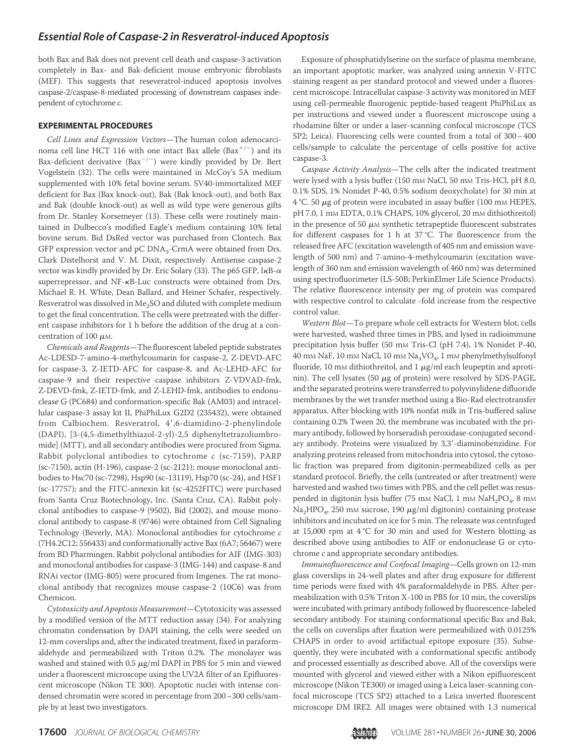both Bax and Bak does not prevent cell death and caspase-3 activation completely in Bax- and Bak-deficient mouse embryonic fibroblasts (MEF). This suggests that reseveratrol-induced apoptosis involves caspase-2/caspase-8-mediated processing of downstream caspases independent of cytochrome *c*.

#### **EXPERIMENTAL PROCEDURES**

*Cell Lines and Expression Vectors*—The human colon adenocarcinoma cell line HCT 116 with one intact Bax allele  $(Bax^{+/-})$  and its Bax-deficient derivative  $(Bax^{-/-})$  were kindly provided by Dr. Bert Vogelstein (32). The cells were maintained in McCoy's 5A medium supplemented with 10% fetal bovine serum. SV40-immortalized MEF deficient for Bax (Bax knock-out), Bak (Bak knock-out), and both Bax and Bak (double knock-out) as well as wild type were generous gifts from Dr. Stanley Korsemeyer (13). These cells were routinely maintained in Dulbecco's modified Eagle's medium containing 10% fetal bovine serum. Bid DsRed vector was purchased from Clontech. Bax GFP expression vector and  $pC$   $DNA<sub>3</sub>$ -CrmA were obtained from Drs. Clark Distelhorst and V. M. Dixit, respectively. Antisense caspase-2 vector was kindly provided by Dr. Eric Solary (33). The p65 GFP, I $\kappa$ B- $\alpha$ superrepressor, and  $NF$ - $\kappa$ B-Luc constructs were obtained from Drs. Michael R. H. White, Dean Ballard, and Heiner Schafer, respectively. Resveratrol was dissolved in  $Me<sub>2</sub>SO$  and diluted with complete medium to get the final concentration. The cells were pretreated with the different caspase inhibitors for 1 h before the addition of the drug at a concentration of 100  $\mu$ M.

*Chemicals and Reagents*—The fluorescent labeled peptide substrates Ac-LDESD-7-amino-4-methylcoumarin for caspase-2, Z-DEVD-AFC for caspase-3, Z-IETD-AFC for caspase-8, and Ac-LEHD-AFC for caspase-9 and their respective caspase inhibitors Z-VDVAD-fmk, Z-DEVD-fmk, Z-IETD-fmk, and Z-LEHD-fmk, antibodies to endonuclease G (PC684) and conformation-specific Bak (AM03) and intracellular caspase-3 assay kit II, PhiPhiLux G2D2 (235432), were obtained from Calbiochem. Resveratrol, 4',6-diamidino-2-phenylindole (DAPI), [3-(4,5-dimethylthiazol-2-yl)-2,5 diphenyltetrazoliumbromide] (MTT), and all secondary antibodies were procured from Sigma. Rabbit polyclonal antibodies to cytochrome *c* (sc-7159), PARP (sc-7150), actin (H-196), caspase-2 (sc-2121); mouse monoclonal antibodies to Hsc70 (sc-7298), Hsp90 (sc-13119), Hsp70 (sc-24), and HSF1 (sc-17757); and the FITC-annexin kit (sc-4252FITC) were purchased from Santa Cruz Biotechnology, Inc. (Santa Cruz, CA). Rabbit polyclonal antibodies to caspase-9 (9502), Bid (2002), and mouse monoclonal antibody to caspase-8 (9746) were obtained from Cell Signaling Technology (Beverly, MA). Monoclonal antibodies for cytochrome *c* (7H4.2C12; 556433) and conformationally active Bax (6A7; 56467) were from BD Pharmingen. Rabbit polyclonal antibodies for AIF (IMG-303) and monoclonal antibodies for caspase-3 (IMG-144) and caspase-8 and RNAi vector (IMG-805) were procured from Imgenex. The rat monoclonal antibody that recognizes mouse caspase-2 (10C6) was from Chemicon.

*Cytotoxicity and Apoptosis Measurement*—Cytotoxicity was assessed by a modified version of the MTT reduction assay (34). For analyzing chromatin condensation by DAPI staining, the cells were seeded on 12-mm coverslips and, after the indicated treatment, fixed in paraformaldehyde and permeabilized with Triton 0.2%. The monolayer was washed and stained with 0.5  $\mu$ g/ml DAPI in PBS for 5 min and viewed under a fluorescent microscope using the UV2A filter of an Epifluorescent microscope (Nikon TE 300). Apoptotic nuclei with intense condensed chromatin were scored in percentage from 200–300 cells/sample by at least two investigators.

Exposure of phosphatidylserine on the surface of plasma membrane, an important apoptotic marker, was analyzed using annexin V-FITC staining reagent as per standard protocol and viewed under a fluorescent microscope. Intracellular caspase-3 activity was monitored in MEF using cell-permeable fluorogenic peptide-based reagent PhiPhiLux as per instructions and viewed under a fluorescent microscope using a rhodamine filter or under a laser-scanning confocal microscope (TCS SP2; Leica). Fluorescing cells were counted from a total of 300–400 cells/sample to calculate the percentage of cells positive for active caspase-3.

*Caspase Activity Analysis*—The cells after the indicated treatment were lysed with a lysis buffer (150 mm NaCl, 50 mm Tris-HCl, pH 8.0, 0.1% SDS, 1% Nonidet P-40, 0.5% sodium deoxycholate) for 30 min at 4 °C. 50  $\mu$ g of protein were incubated in assay buffer (100 mm HEPES, pH 7.0, 1 mM EDTA, 0.1% CHAPS, 10% glycerol, 20 mM dithiothreitol) in the presence of 50  $\mu$ M synthetic tetrapeptide fluorescent substrates for different caspases for 1 h at 37 °C. The fluorescence from the released free AFC (excitation wavelength of 405 nm and emission wavelength of 500 nm) and 7-amino-4-methylcoumarin (excitation wavelength of 360 nm and emission wavelength of 460 nm) was determined using spectrofluorimeter (LS-50B; PerkinElmer Life Science Products). The relative fluorescence intensity per mg of protein was compared with respective control to calculate -fold increase from the respective control value.

*Western Blot*—To prepare whole cell extracts for Western blot, cells were harvested, washed three times in PBS, and lysed in radioimmune precipitation lysis buffer (50 mM Tris-Cl (pH 7.4), 1% Nonidet P-40,  $40 \text{ }\mathrm{mm}$  NaF,  $10 \text{ }\mathrm{mm}$  NaCl,  $10 \text{ }\mathrm{mm}$  Na $_3 \mathrm{VO}_4$ ,  $1 \text{ }\mathrm{mm}$  phenylmethylsulfonyl fluoride, 10 mm dithiothreitol, and 1  $\mu$ g/ml each leupeptin and aprotinin). The cell lysates (50  $\mu$ g of protein) were resolved by SDS-PAGE, and the separated proteins were transferred to polyvinylidene difluoride membranes by the wet transfer method using a Bio-Rad electrotransfer apparatus. After blocking with 10% nonfat milk in Tris-buffered saline containing 0.2% Tween 20, the membrane was incubated with the primary antibody, followed by horseradish peroxidase-conjugated secondary antibody. Proteins were visualized by 3,3-diaminobenzidine. For analyzing proteins released from mitochondria into cytosol, the cytosolic fraction was prepared from digitonin-permeabilized cells as per standard protocol. Briefly, the cells (untreated or after treatment) were harvested and washed two times with PBS, and the cell pellet was resuspended in digitonin lysis buffer (75 mm NaCl, 1 mm NaH $_2$ PO $_4$ , 8 mm  $\rm Na_2HPO_4$ , 250 mm sucrose, 190  $\mu$ g/ml digitonin) containing protease inhibitors and incubated on ice for 5 min. The releasate was centrifuged at 15,000 rpm at 4 °C for 30 min and used for Western blotting as described above using antibodies to AIF or endonuclease G or cytochrome *c* and appropriate secondary antibodies.

*Immunofluorescence and Confocal Imaging*—Cells grown on 12-mm glass coverslips in 24-well plates and after drug exposure for different time periods were fixed with 4% paraformaldehyde in PBS. After permeabilization with 0.5% Triton X-100 in PBS for 10 min, the coverslips were incubated with primary antibody followed by fluorescence-labeled secondary antibody. For staining conformational specific Bax and Bak, the cells on coverslips after fixation were permeabilized with 0.0125% CHAPS in order to avoid artifactual epitope exposure (35). Subsequently, they were incubated with a conformational specific antibody and processed essentially as described above. All of the coverslips were mounted with glycerol and viewed either with a Nikon epifluorescent microscope (Nikon TE300) or imaged using a Leica laser-scanning confocal microscope (TCS SP2) attached to a Leica inverted fluorescent microscope DM IRE2. All images were obtained with 1.3 numerical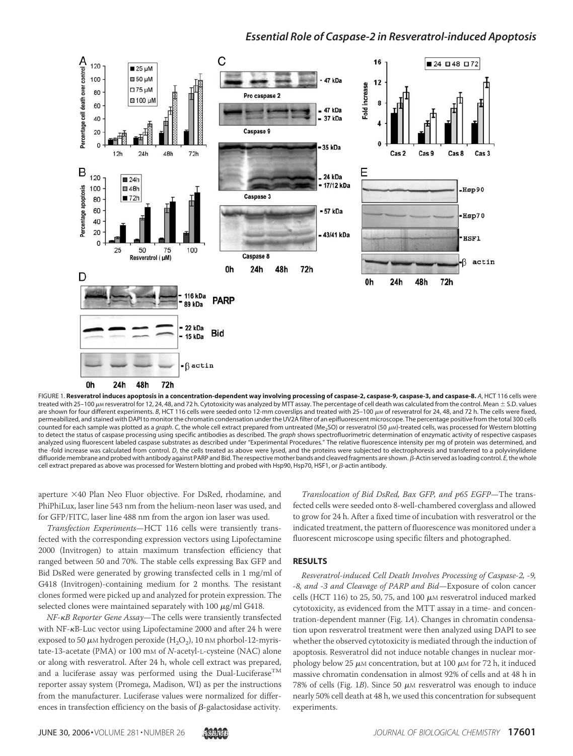

treated with 25–100  $\mu$ м resveratrol for 12, 24, 48, and 72 h. Cytotoxicity was analyzed by MTT assay. The percentage of cell death was calculated from the control. Mean  $\pm$  S.D. values are shown for four different experiments. B, HCT 116 cells were seeded onto 12-mm coverslips and treated with 25-100  $\mu$ M of resveratrol for 24, 48, and 72 h. The cells were fixed, permeabilized, and stained with DAPI to monitor the chromatin condensation under the UV2A filter of an epifluorescent microscope. The percentage positive from the total 300 cells counted for each sample was plotted as a *graph*. C, the whole cell extract prepared from untreated (Me<sub>2</sub>SO) or resveratrol (50  $\mu$ M)-treated cells, was processed for Western blotting to detect the status of caspase processing using specific antibodies as described. The *graph* shows spectrofluorimetric determination of enzymatic activity of respective caspases analyzed using fluorescent labeled caspase substrates as described under "Experimental Procedures." The relative fluorescence intensity per mg of protein was determined, and the -fold increase was calculated from control. *D*, the cells treated as above were lysed, and the proteins were subjected to electrophoresis and transferred to a polyvinylidene difluoride membrane and probed with antibody against PARP and Bid. The respective mother bands and cleaved fragments are shown. β-Actin served as loading control. *E*, the whole cell extract prepared as above was processed for Western blotting and probed with Hsp90, Hsp70, HSF1, or  $\beta$ -actin antibody.

aperture ×40 Plan Neo Fluor objective. For DsRed, rhodamine, and PhiPhiLux, laser line 543 nm from the helium-neon laser was used, and for GFP/FITC, laser line 488 nm from the argon ion laser was used.

*Transfection Experiments*—HCT 116 cells were transiently transfected with the corresponding expression vectors using Lipofectamine 2000 (Invitrogen) to attain maximum transfection efficiency that ranged between 50 and 70%. The stable cells expressing Bax GFP and Bid DsRed were generated by growing transfected cells in 1 mg/ml of G418 (Invitrogen)-containing medium for 2 months. The resistant clones formed were picked up and analyzed for protein expression. The selected clones were maintained separately with 100  $\mu$ g/ml G418.

*NF-B Reporter Gene Assay*—The cells were transiently transfected with NF-KB-Luc vector using Lipofectamine 2000 and after 24 h were exposed to 50  $\mu$ m hydrogen peroxide (H<sub>2</sub>O<sub>2</sub>), 10 nm phorbol-12-myristate-13-acetate (PMA) or 100 mM of *N*-acetyl-L-cysteine (NAC) alone or along with resveratrol. After 24 h, whole cell extract was prepared, and a luciferase assay was performed using the Dual-Luciferase<sup>TM</sup> reporter assay system (Promega, Madison, WI) as per the instructions from the manufacturer. Luciferase values were normalized for differences in transfection efficiency on the basis of  $\beta$ -galactosidase activity.

*Translocation of Bid DsRed, Bax GFP, and p65 EGFP*—The transfected cells were seeded onto 8-well-chambered coverglass and allowed to grow for 24 h. After a fixed time of incubation with resveratrol or the indicated treatment, the pattern of fluorescence was monitored under a fluorescent microscope using specific filters and photographed.

#### **RESULTS**

*Resveratrol-induced Cell Death Involves Processing of Caspase-2, -9, -8, and -3 and Cleavage of PARP and Bid*—Exposure of colon cancer cells (HCT 116) to 25, 50, 75, and 100  $\mu$ M resveratrol induced marked cytotoxicity, as evidenced from the MTT assay in a time- and concentration-dependent manner (Fig. 1*A*). Changes in chromatin condensation upon resveratrol treatment were then analyzed using DAPI to see whether the observed cytotoxicity is mediated through the induction of apoptosis. Resveratrol did not induce notable changes in nuclear morphology below 25  $\mu$ M concentration, but at 100  $\mu$ M for 72 h, it induced massive chromatin condensation in almost 92% of cells and at 48 h in 78% of cells (Fig. 1*B*). Since 50  $\mu$ M resveratrol was enough to induce nearly 50% cell death at 48 h, we used this concentration for subsequent experiments.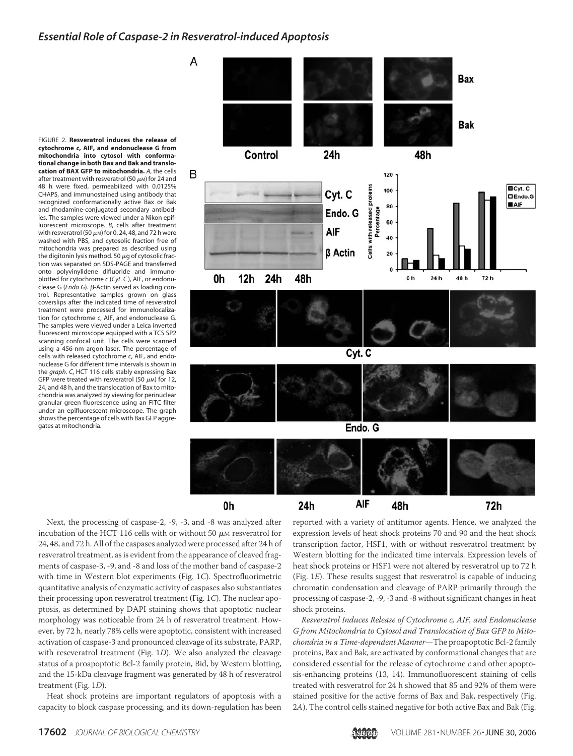FIGURE 2. **Resveratrol induces the release of cytochrome** *c***, AIF, and endonuclease G from mitochondria into cytosol with conformational change in both Bax and Bak and translocation of BAX GFP to mitochondria.** *A*, the cells after treatment with resveratrol (50  $\mu$ m) for 24 and 48 h were fixed, permeabilized with 0.0125% CHAPS, and immunostained using antibody that recognized conformationally active Bax or Bak and rhodamine-conjugated secondary antibodies. The samples were viewed under a Nikon epifluorescent microscope. *B*, cells after treatment with resveratrol (50  $\mu$ M) for 0, 24, 48, and 72 h were washed with PBS, and cytosolic fraction free of mitochondria was prepared as described using the digitonin lysis method. 50  $\mu$ g of cytosolic fraction was separated on SDS-PAGE and transferred onto polyvinylidene difluoride and immunoblotted for cytochrome *c* (*Cyt*. *C* ), AIF, or endonuclease G (*Endo G*). β-Actin served as loading control. Representative samples grown on glass coverslips after the indicated time of resveratrol treatment were processed for immunolocalization for cytochrome *c*, AIF, and endonuclease G. The samples were viewed under a Leica inverted fluorescent microscope equipped with a TCS SP2 scanning confocal unit. The cells were scanned using a 456-nm argon laser. The percentage of cells with released cytochrome *c*, AIF, and endonuclease G for different time intervals is shown in the *graph*. *C*, HCT 116 cells stably expressing Bax GFP were treated with resveratrol (50  $\mu$ M) for 12, 24, and 48 h, and the translocation of Bax to mitochondria was analyzed by viewing for perinuclear granular green fluorescence using an FITC filter under an epifluorescent microscope. The graph shows the percentage of cells with Bax GFP aggregates at mitochondria.





reported with a variety of antitumor agents. Hence, we analyzed the expression levels of heat shock proteins 70 and 90 and the heat shock transcription factor, HSF1, with or without resveratrol treatment by Western blotting for the indicated time intervals. Expression levels of heat shock proteins or HSF1 were not altered by resveratrol up to 72 h (Fig. 1*E*). These results suggest that resveratrol is capable of inducing chromatin condensation and cleavage of PARP primarily through the processing of caspase-2, -9, -3 and -8 without significant changes in heat shock proteins.

*Resveratrol Induces Release of Cytochrome c, AIF, and Endonuclease G from Mitochondria to Cytosol and Translocation of Bax GFP to Mitochondria in a Time-dependent Manner*—The proapoptotic Bcl-2 family proteins, Bax and Bak, are activated by conformational changes that are considered essential for the release of cytochrome *c* and other apoptosis-enhancing proteins (13, 14). Immunofluorescent staining of cells treated with resveratrol for 24 h showed that 85 and 92% of them were stained positive for the active forms of Bax and Bak, respectively (Fig. 2*A*). The control cells stained negative for both active Bax and Bak (Fig.

Next, the processing of caspase-2, -9, -3, and -8 was analyzed after incubation of the HCT 116 cells with or without 50  $\mu$ M resveratrol for 24, 48, and 72 h. All of the caspases analyzed were processed after 24 h of resveratrol treatment, as is evident from the appearance of cleaved fragments of caspase-3, -9, and -8 and loss of the mother band of caspase-2 with time in Western blot experiments (Fig. 1*C*). Spectrofluorimetric quantitative analysis of enzymatic activity of caspases also substantiates their processing upon resveratrol treatment (Fig. 1*C*). The nuclear apoptosis, as determined by DAPI staining shows that apoptotic nuclear morphology was noticeable from 24 h of resveratrol treatment. However, by 72 h, nearly 78% cells were apoptotic, consistent with increased activation of caspase-3 and pronounced cleavage of its substrate, PARP, with reseveratrol treatment (Fig. 1*D*). We also analyzed the cleavage status of a proapoptotic Bcl-2 family protein, Bid, by Western blotting, and the 15-kDa cleavage fragment was generated by 48 h of resveratrol treatment (Fig. 1*D*).

Heat shock proteins are important regulators of apoptosis with a capacity to block caspase processing, and its down-regulation has been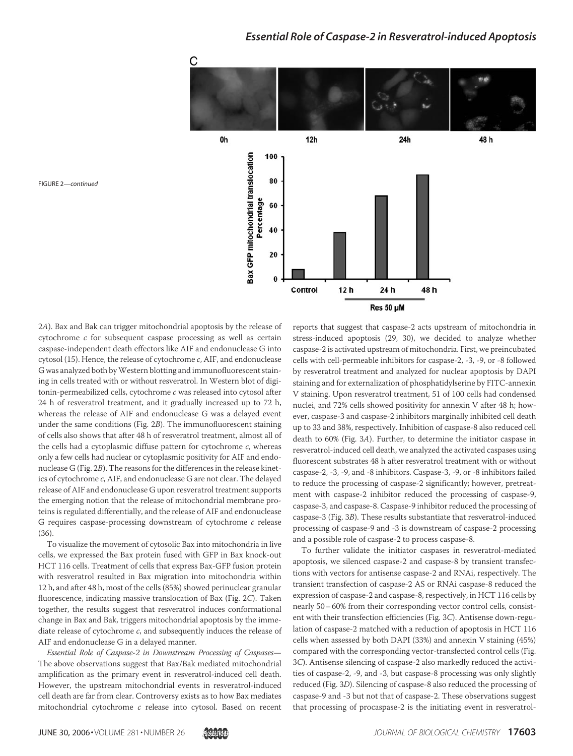

2*A*). Bax and Bak can trigger mitochondrial apoptosis by the release of cytochrome *c* for subsequent caspase processing as well as certain caspase-independent death effectors like AIF and endonuclease G into cytosol (15). Hence, the release of cytochrome *c*, AIF, and endonuclease G was analyzed both byWestern blotting and immunofluorescent staining in cells treated with or without resveratrol. In Western blot of digitonin-permeabilized cells, cytochrome *c* was released into cytosol after 24 h of resveratrol treatment, and it gradually increased up to 72 h, whereas the release of AIF and endonuclease G was a delayed event under the same conditions (Fig. 2*B*). The immunofluorescent staining of cells also shows that after 48 h of resveratrol treatment, almost all of the cells had a cytoplasmic diffuse pattern for cytochrome *c*, whereas only a few cells had nuclear or cytoplasmic positivity for AIF and endonuclease G (Fig. 2*B*). The reasons for the differences in the release kinetics of cytochrome *c*, AIF, and endonuclease G are not clear. The delayed release of AIF and endonuclease G upon resveratrol treatment supports the emerging notion that the release of mitochondrial membrane proteins is regulated differentially, and the release of AIF and endonuclease G requires caspase-processing downstream of cytochrome *c* release

To visualize the movement of cytosolic Bax into mitochondria in live cells, we expressed the Bax protein fused with GFP in Bax knock-out HCT 116 cells. Treatment of cells that express Bax-GFP fusion protein with resveratrol resulted in Bax migration into mitochondria within 12 h, and after 48 h, most of the cells (85%) showed perinuclear granular fluorescence, indicating massive translocation of Bax (Fig. 2*C*). Taken together, the results suggest that resveratrol induces conformational change in Bax and Bak, triggers mitochondrial apoptosis by the immediate release of cytochrome *c*, and subsequently induces the release of AIF and endonuclease G in a delayed manner.

*Essential Role of Caspase-2 in Downstream Processing of Caspases*— The above observations suggest that Bax/Bak mediated mitochondrial amplification as the primary event in resveratrol-induced cell death. However, the upstream mitochondrial events in resveratrol-induced cell death are far from clear. Controversy exists as to how Bax mediates mitochondrial cytochrome *c* release into cytosol. Based on recent

reports that suggest that caspase-2 acts upstream of mitochondria in stress-induced apoptosis (29, 30), we decided to analyze whether caspase-2 is activated upstream of mitochondria. First, we preincubated cells with cell-permeable inhibitors for caspase-2, -3, -9, or -8 followed by resveratrol treatment and analyzed for nuclear apoptosis by DAPI staining and for externalization of phosphatidylserine by FITC-annexin V staining. Upon resveratrol treatment, 51 of 100 cells had condensed nuclei, and 72% cells showed positivity for annexin V after 48 h; however, caspase-3 and caspase-2 inhibitors marginally inhibited cell death up to 33 and 38%, respectively. Inhibition of caspase-8 also reduced cell death to 60% (Fig. 3*A*). Further, to determine the initiator caspase in resveratrol-induced cell death, we analyzed the activated caspases using fluorescent substrates 48 h after resveratrol treatment with or without caspase-2, -3, -9, and -8 inhibitors. Caspase-3, -9, or -8 inhibitors failed to reduce the processing of caspase-2 significantly; however, pretreatment with caspase-2 inhibitor reduced the processing of caspase-9, caspase-3, and caspase-8. Caspase-9 inhibitor reduced the processing of caspase-3 (Fig. 3*B*). These results substantiate that resveratrol-induced processing of caspase-9 and -3 is downstream of caspase-2 processing and a possible role of caspase-2 to process caspase-8.

To further validate the initiator caspases in resveratrol-mediated apoptosis, we silenced caspase-2 and caspase-8 by transient transfections with vectors for antisense caspase-2 and RNAi, respectively. The transient transfection of caspase-2 AS or RNAi caspase-8 reduced the expression of caspase-2 and caspase-8, respectively, in HCT 116 cells by nearly 50–60% from their corresponding vector control cells, consistent with their transfection efficiencies (Fig. 3*C*). Antisense down-regulation of caspase-2 matched with a reduction of apoptosis in HCT 116 cells when assessed by both DAPI (33%) and annexin V staining (45%) compared with the corresponding vector-transfected control cells (Fig. 3*C*). Antisense silencing of caspase-2 also markedly reduced the activities of caspase-2, -9, and -3, but caspase-8 processing was only slightly reduced (Fig. 3*D*). Silencing of caspase-8 also reduced the processing of caspase-9 and -3 but not that of caspase-2. These observations suggest that processing of procaspase-2 is the initiating event in resveratrol-

FIGURE 2—*continued*

(36).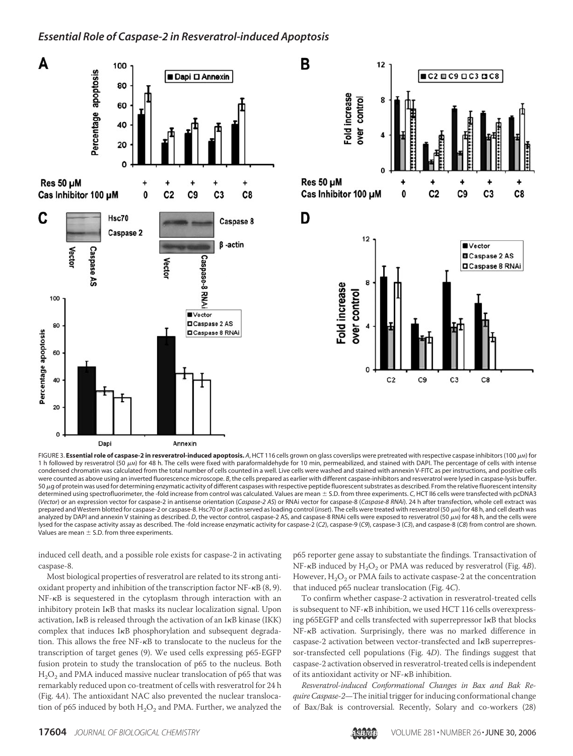

FIGURE 3. Essential role of caspase-2 in resveratrol-induced apoptosis. A, HCT 116 cells grown on glass coverslips were pretreated with respective caspase inhibitors (100  $\mu$ M) for 1 h followed by resveratrol (50  $\mu$ M) for 48 h. The cells were fixed with paraformaldehyde for 10 min, permeabilized, and stained with DAPI. The percentage of cells with intense condensed chromatin was calculated from the total number of cells counted in a well. Live cells were washed and stained with annexin V-FITC as per instructions, and positive cells were counted as above using an inverted fluorescence microscope. *B*, the cells prepared as earlier with different caspase-inhibitors and resveratrol were lysed in caspase-lysis buffer. 50 µg of protein was used for determining enzymatic activity of different caspases with respective peptide fluorescent substrates as described. From the relative fluorescent intensity determined using spectrofluorimeter, the -fold increase from control was calculated. Values are mean S.D. from three experiments. *C*, HCT II6 cells were transfected with pcDNA3 (*Vector*) or an expression vector for caspase-2 in antisense orientation (*Caspase-2 AS*) or RNAi vector for caspase-8 (*Caspase-8 RNAi*). 24 h after transfection, whole cell extract was prepared and Western blotted for caspase-2 or caspase-8. Hsc70 or  $\beta$  actin served as loading control (inset). The cells were treated with resveratrol (50  $\mu$ M) for 48 h, and cell death was analyzed by DAPI and annexin V staining as described. *D*, the vector control, caspase-2 AS, and caspase-8 RNAi cells were exposed to resveratrol (50  $\mu$ M) for 48 h, and the cells were lysed for the caspase activity assay as described. The -fold increase enzymatic activity for caspase-2 (*C2*), caspase-9 (*C9*), caspase-3 (*C3*), and caspase-8 (*C8*) from control are shown. Values are mean  $\pm$  S.D. from three experiments.

induced cell death, and a possible role exists for caspase-2 in activating caspase-8.

Most biological properties of resveratrol are related to its strong antioxidant property and inhibition of the transcription factor NF- $\kappa$ B (8, 9).  $NF$ - $\kappa$ B is sequestered in the cytoplasm through interaction with an inhibitory protein IKB that masks its nuclear localization signal. Upon activation,  $I \kappa B$  is released through the activation of an  $I \kappa B$  kinase (IKK)  $complex$  that induces  $I\kappa B$  phosphorylation and subsequent degradation. This allows the free  $NF$ - $\kappa$ B to translocate to the nucleus for the transcription of target genes (9). We used cells expressing p65-EGFP fusion protein to study the translocation of p65 to the nucleus. Both  $\rm H_2O_2$  and PMA induced massive nuclear translocation of p65 that was remarkably reduced upon co-treatment of cells with resveratrol for 24 h (Fig. 4*A*). The antioxidant NAC also prevented the nuclear translocation of p65 induced by both  $\rm H_2O_2$  and PMA. Further, we analyzed the

p65 reporter gene assay to substantiate the findings. Transactivation of NF- $\kappa$ B induced by H<sub>2</sub>O<sub>2</sub> or PMA was reduced by resveratrol (Fig. 4*B*). However,  $H_2O_2$  or PMA fails to activate caspase-2 at the concentration that induced p65 nuclear translocation (Fig. 4*C*).

To confirm whether caspase-2 activation in resveratrol-treated cells is subsequent to NF-KB inhibition, we used HCT 116 cells overexpressing p65EGFP and cells transfected with superrepressor  $I\kappa B$  that blocks NF-KB activation. Surprisingly, there was no marked difference in caspase-2 activation between vector-transfected and IKB superrepressor-transfected cell populations (Fig. 4*D*). The findings suggest that caspase-2 activation observed in resveratrol-treated cells is independent of its antioxidant activity or  $NF$ - $\kappa$ B inhibition.

*Resveratrol-induced Conformational Changes in Bax and Bak Require Caspase-2*—The initial trigger for inducing conformational change of Bax/Bak is controversial. Recently, Solary and co-workers (28)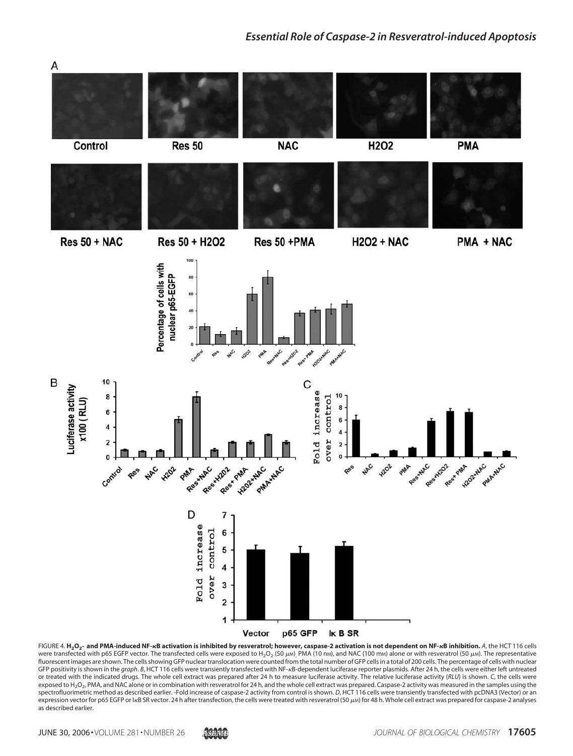

FIGURE 4. **H2O<sup>2</sup> - and PMA-induced NF-B activation is inhibited by resveratrol; however, caspase-2 activation is not dependent on NF-B inhibition.** *A*, the HCT 116 cells were transfected with p65 EGFP vector. The transfected cells were exposed to H<sub>2</sub>O<sub>2</sub> (50  $\mu$ м), PMA (10 nм), and NAC (100 mм) alone or with resveratrol (50  $\mu$ м). The representative fluorescent images are shown. The cells showing GFP nuclear translocation were counted from the total number of GFP cells in a total of 200 cells. The percentage of cells with nuclear GFP positivity is shown in the graph. B, HCT 116 cells were transiently transfected with NF-<sub>K</sub>B-dependent luciferase reporter plasmids. After 24 h, the cells were either left untreated or treated with the indicated drugs. The whole cell extract was prepared after 24 h to measure luciferase activity. The relative luciferase activity (*RLU*) is shown. *C*, the cells were exposed to H<sub>2</sub>O<sub>2</sub>, PMA, and NAC alone or in combination with resveratrol for 24 h, and the whole cell extract was prepared. Caspase-2 activity was measured in the samples using the spectrofluorimetric method as described earlier. -Fold increase of caspase-2 activity from control is shown. *D*, HCT 116 cells were transiently transfected with pcDNA3 (Vector) or an expression vector for p65 EGFP or IRB SR vector. 24 h after transfection, the cells were treated with resveratrol (50  $\mu$ M) for 48 h. Whole cell extract was prepared for caspase-2 analyses as described earlier.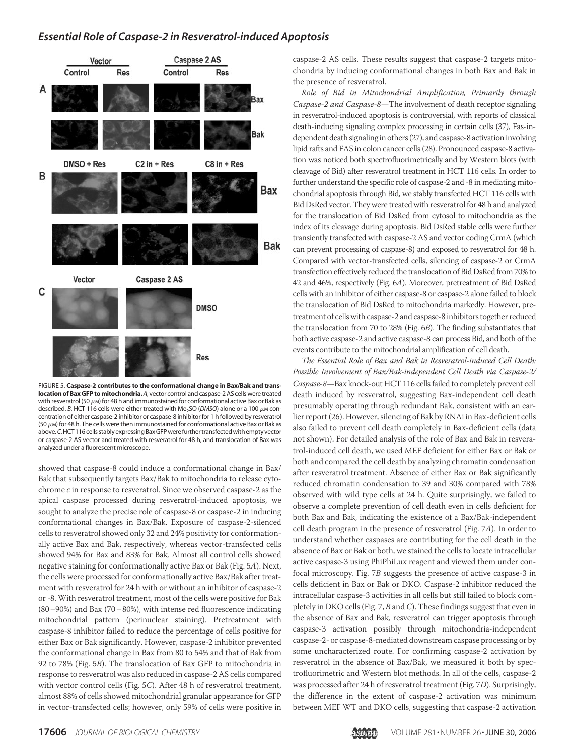

FIGURE 5. **Caspase-2 contributes to the conformational change in Bax/Bak and translocation of Bax GFP to mitochondria.***A*, vector control and caspase-2 AS cells were treated with resveratrol (50  $\mu$ м) for 48 h and immunostained for conformational active Bax or Bak as described. *B*, HCT 116 cells were either treated with Me<sub>2</sub>SO (DMSO) alone or a 100  $\mu$ M concentration of either caspase-2 inhibitor or caspase-8 inhibitor for 1 h followed by resveratrol  $(50 \mu)$  for 48 h. The cells were then immunostained for conformational active Bax or Bak as above.*C*, HCT 116 cells stably expressing Bax GFP were further transfected with empty vector or caspase-2 AS vector and treated with resveratrol for 48 h, and translocation of Bax was analyzed under a fluorescent microscope.

showed that caspase-8 could induce a conformational change in Bax/ Bak that subsequently targets Bax/Bak to mitochondria to release cytochrome *c* in response to resveratrol. Since we observed caspase-2 as the apical caspase processed during resveratrol-induced apoptosis, we sought to analyze the precise role of caspase-8 or caspase-2 in inducing conformational changes in Bax/Bak. Exposure of caspase-2-silenced cells to resveratrol showed only 32 and 24% positivity for conformationally active Bax and Bak, respectively, whereas vector-transfected cells showed 94% for Bax and 83% for Bak. Almost all control cells showed negative staining for conformationally active Bax or Bak (Fig. 5*A*). Next, the cells were processed for conformationally active Bax/Bak after treatment with resveratrol for 24 h with or without an inhibitor of caspase-2 or -8. With resveratrol treatment, most of the cells were positive for Bak (80–90%) and Bax (70–80%), with intense red fluorescence indicating mitochondrial pattern (perinuclear staining). Pretreatment with caspase-8 inhibitor failed to reduce the percentage of cells positive for either Bax or Bak significantly. However, caspase-2 inhibitor prevented the conformational change in Bax from 80 to 54% and that of Bak from 92 to 78% (Fig. 5*B*). The translocation of Bax GFP to mitochondria in response to resveratrol was also reduced in caspase-2 AS cells compared with vector control cells (Fig. 5*C*). After 48 h of resveratrol treatment, almost 88% of cells showed mitochondrial granular appearance for GFP in vector-transfected cells; however, only 59% of cells were positive in

caspase-2 AS cells. These results suggest that caspase-2 targets mitochondria by inducing conformational changes in both Bax and Bak in the presence of resveratrol.

*Role of Bid in Mitochondrial Amplification, Primarily through Caspase-2 and Caspase-8*—The involvement of death receptor signaling in resveratrol-induced apoptosis is controversial, with reports of classical death-inducing signaling complex processing in certain cells (37), Fas-independent death signaling in others (27), and caspase-8 activation involving lipid rafts and FAS in colon cancer cells (28). Pronounced caspase-8 activation was noticed both spectrofluorimetrically and by Western blots (with cleavage of Bid) after resveratrol treatment in HCT 116 cells. In order to further understand the specific role of caspase-2 and -8 in mediating mitochondrial apoptosis through Bid, we stably transfected HCT 116 cells with Bid DsRed vector. They were treated with resveratrol for 48 h and analyzed for the translocation of Bid DsRed from cytosol to mitochondria as the index of its cleavage during apoptosis. Bid DsRed stable cells were further transiently transfected with caspase-2 AS and vector coding CrmA (which can prevent processing of caspase-8) and exposed to resveratrol for 48 h. Compared with vector-transfected cells, silencing of caspase-2 or CrmA transfection effectively reduced the translocation of Bid DsRed from 70% to 42 and 46%, respectively (Fig. 6*A*). Moreover, pretreatment of Bid DsRed cells with an inhibitor of either caspase-8 or caspase-2 alone failed to block the translocation of Bid DsRed to mitochondria markedly. However, pretreatment of cells with caspase-2 and caspase-8 inhibitors together reduced the translocation from 70 to 28% (Fig. 6*B*). The finding substantiates that both active caspase-2 and active caspase-8 can process Bid, and both of the events contribute to the mitochondrial amplification of cell death.

*The Essential Role of Bax and Bak in Resveratrol-induced Cell Death: Possible Involvement of Bax/Bak-independent Cell Death via Caspase-2/ Caspase-8*—Bax knock-out HCT 116 cells failed to completely prevent cell death induced by resveratrol, suggesting Bax-independent cell death presumably operating through redundant Bak, consistent with an earlier report (26). However, silencing of Bak by RNAi in Bax-deficient cells also failed to prevent cell death completely in Bax-deficient cells (data not shown). For detailed analysis of the role of Bax and Bak in resveratrol-induced cell death, we used MEF deficient for either Bax or Bak or both and compared the cell death by analyzing chromatin condensation after resveratrol treatment. Absence of either Bax or Bak significantly reduced chromatin condensation to 39 and 30% compared with 78% observed with wild type cells at 24 h. Quite surprisingly, we failed to observe a complete prevention of cell death even in cells deficient for both Bax and Bak, indicating the existence of a Bax/Bak-independent cell death program in the presence of resveratrol (Fig. 7*A*). In order to understand whether caspases are contributing for the cell death in the absence of Bax or Bak or both, we stained the cells to locate intracellular active caspase-3 using PhiPhiLux reagent and viewed them under confocal microscopy. Fig. 7*B* suggests the presence of active caspase-3 in cells deficient in Bax or Bak or DKO. Caspase-2 inhibitor reduced the intracellular caspase-3 activities in all cells but still failed to block completely in DKO cells (Fig. 7, *B* and *C*). These findings suggest that even in the absence of Bax and Bak, resveratrol can trigger apoptosis through caspase-3 activation possibly through mitochondria-independent caspase-2- or caspase-8-mediated downstream caspase processing or by some uncharacterized route. For confirming caspase-2 activation by resveratrol in the absence of Bax/Bak, we measured it both by spectrofluorimetric and Western blot methods. In all of the cells, caspase-2 was processed after 24 h of resveratrol treatment (Fig. 7*D*). Surprisingly, the difference in the extent of caspase-2 activation was minimum between MEF WT and DKO cells, suggesting that caspase-2 activation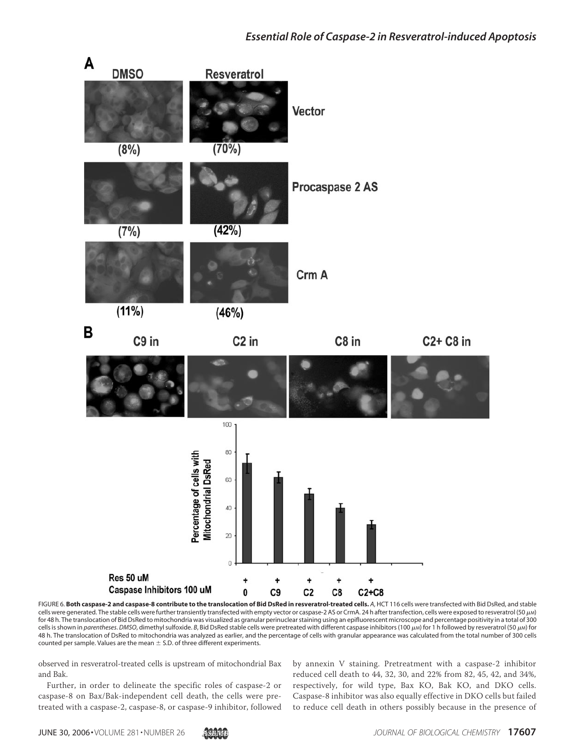

FIGURE 6. **Both caspase-2 and caspase-8 contribute to the translocation of Bid DsRed in resveratrol-treated cells.** *A*, HCT 116 cells were transfected with Bid DsRed, and stable cells were generated. The stable cells were further transiently transfected with empty vector or caspase-2 AS or CrmA. 24 h after transfection, cells were exposed to resveratrol (50  $\mu$ M) for 48 h. The translocation of Bid DsRed to mitochondria was visualized as granular perinuclear staining using an epifluorescent microscope and percentage positivity in a total of 300 cells is shown in *parentheses. DMSO*, dimethyl sulfoxide. *B*, Bid DsRed stable cells were pretreated with different caspase inhibitors (100 µM) for 1 h followed by resveratrol (50 µM) for 48 h. The translocation of DsRed to mitochondria was analyzed as earlier, and the percentage of cells with granular appearance was calculated from the total number of 300 cells counted per sample. Values are the mean  $\pm$  S.D. of three different experiments.

observed in resveratrol-treated cells is upstream of mitochondrial Bax and Bak.

Further, in order to delineate the specific roles of caspase-2 or caspase-8 on Bax/Bak-independent cell death, the cells were pretreated with a caspase-2, caspase-8, or caspase-9 inhibitor, followed

by annexin V staining. Pretreatment with a caspase-2 inhibitor reduced cell death to 44, 32, 30, and 22% from 82, 45, 42, and 34%, respectively, for wild type, Bax KO, Bak KO, and DKO cells. Caspase-8 inhibitor was also equally effective in DKO cells but failed to reduce cell death in others possibly because in the presence of

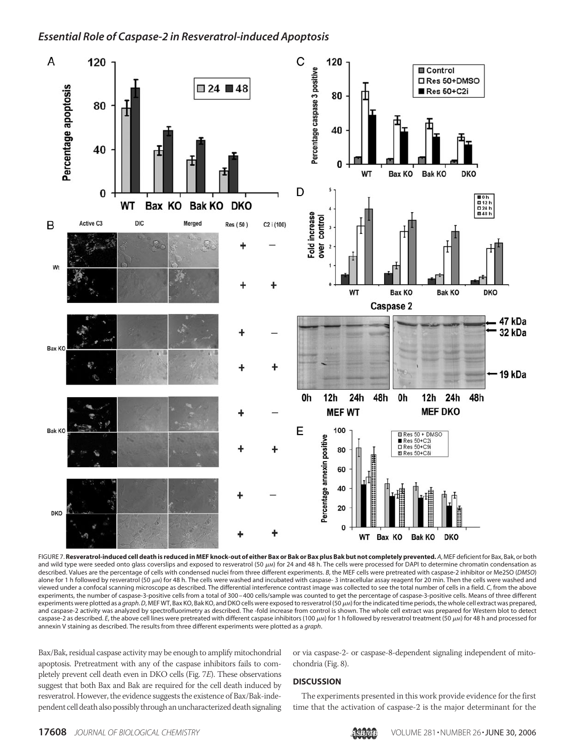

FIGURE 7. **Resveratrol-induced cell death is reduced in MEF knock-out of either Bax or Bak or Bax plus Bak but not completely prevented.** *A*, MEF deficient for Bax, Bak, or both and wild type were seeded onto glass coverslips and exposed to resveratrol (50  $\mu$ M) for 24 and 48 h. The cells were processed for DAPI to determine chromatin condensation as described. Values are the percentage of cells with condensed nuclei from three different experiments. *B*, the MEF cells were pretreated with caspase-2 inhibitor or Me2SO (*DMSO*) alone for 1 h followed by resveratrol (50  $\mu$ M) for 48 h. The cells were washed and incubated with caspase- 3 intracellular assay reagent for 20 min. Then the cells were washed and viewed under a confocal scanning microscope as described. The differential interference contrast image was collected to see the total number of cells in a field. *C*, from the above experiments, the number of caspase-3-positive cells from a total of 300 – 400 cells/sample was counted to get the percentage of caspase-3-positive cells. Means of three different experiments were plotted as a *graph.D*, MEF WT, Bax KO, Bak KO, and DKO cells were exposed to resveratrol (50  $\mu$ M) for the indicated time periods, the whole cell extract was prepared, and caspase-2 activity was analyzed by spectrofluorimetry as described. The -fold increase from control is shown. The whole cell extract was prepared for Western blot to detect caspase-2 as described. E, the above cell lines were pretreated with different caspase inhibitors (100  $\mu$ M) for 1 h followed by resveratrol treatment (50  $\mu$ M) for 48 h and processed for annexin V staining as described. The results from three different experiments were plotted as a *graph*.

Bax/Bak, residual caspase activity may be enough to amplify mitochondrial apoptosis. Pretreatment with any of the caspase inhibitors fails to completely prevent cell death even in DKO cells (Fig. 7*E*). These observations suggest that both Bax and Bak are required for the cell death induced by resveratrol. However, the evidence suggests the existence of Bax/Bak-independent cell death also possibly through an uncharacterized death signaling

or via caspase-2- or caspase-8-dependent signaling independent of mitochondria (Fig. 8).

#### **DISCUSSION**

The experiments presented in this work provide evidence for the first time that the activation of caspase-2 is the major determinant for the

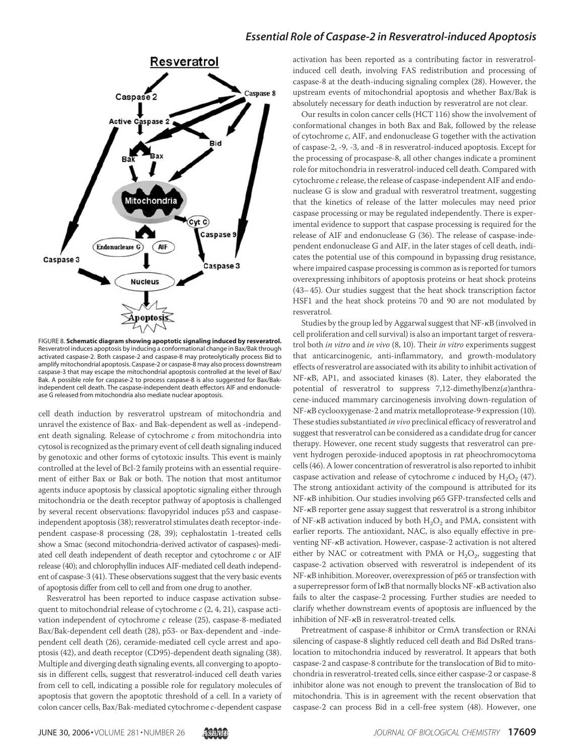

FIGURE 8. **Schematic diagram showing apoptotic signaling induced by resveratrol.** Resveratrol induces apoptosis by inducing a conformational change in Bax/Bak through activated caspase-2. Both caspase-2 and caspase-8 may proteolytically process Bid to amplify mitochondrial apoptosis. Caspase-2 or caspase-8 may also process downstream caspase-3 that may escape the mitochondrial apoptosis controlled at the level of Bax/ Bak. A possible role for caspase-2 to process caspase-8 is also suggested for Bax/Bakindependent cell death. The caspase-independent death effectors AIF and endonuclease G released from mitochondria also mediate nuclear apoptosis.

cell death induction by resveratrol upstream of mitochondria and unravel the existence of Bax- and Bak-dependent as well as -independent death signaling. Release of cytochrome *c* from mitochondria into cytosol is recognized as the primary event of cell death signaling induced by genotoxic and other forms of cytotoxic insults. This event is mainly controlled at the level of Bcl-2 family proteins with an essential requirement of either Bax or Bak or both. The notion that most antitumor agents induce apoptosis by classical apoptotic signaling either through mitochondria or the death receptor pathway of apoptosis is challenged by several recent observations: flavopyridol induces p53 and caspaseindependent apoptosis (38); resveratrol stimulates death receptor-independent caspase-8 processing (28, 39); cephalostatin 1-treated cells show a Smac (second mitochondria-derived activator of caspases)-mediated cell death independent of death receptor and cytochrome *c* or AIF release (40); and chlorophyllin induces AIF-mediated cell death independent of caspase-3 (41). These observations suggest that the very basic events of apoptosis differ from cell to cell and from one drug to another.

Resveratrol has been reported to induce caspase activation subsequent to mitochondrial release of cytochrome *c* (2, 4, 21), caspase activation independent of cytochrome *c* release (25), caspase-8-mediated Bax/Bak-dependent cell death (28), p53- or Bax-dependent and -independent cell death (26), ceramide-mediated cell cycle arrest and apoptosis (42), and death receptor (CD95)-dependent death signaling (38). Multiple and diverging death signaling events, all converging to apoptosis in different cells, suggest that resveratrol-induced cell death varies from cell to cell, indicating a possible role for regulatory molecules of apoptosis that govern the apoptotic threshold of a cell. In a variety of colon cancer cells, Bax/Bak-mediated cytochrome *c*-dependent caspase

activation has been reported as a contributing factor in resveratrolinduced cell death, involving FAS redistribution and processing of caspase-8 at the death-inducing signaling complex (28). However, the upstream events of mitochondrial apoptosis and whether Bax/Bak is absolutely necessary for death induction by resveratrol are not clear.

Our results in colon cancer cells (HCT 116) show the involvement of conformational changes in both Bax and Bak, followed by the release of cytochrome *c*, AIF, and endonuclease G together with the activation of caspase-2, -9, -3, and -8 in resveratrol-induced apoptosis. Except for the processing of procaspase-8, all other changes indicate a prominent role for mitochondria in resveratrol-induced cell death. Compared with cytochrome *c* release, the release of caspase-independent AIF and endonuclease G is slow and gradual with resveratrol treatment, suggesting that the kinetics of release of the latter molecules may need prior caspase processing or may be regulated independently. There is experimental evidence to support that caspase processing is required for the release of AIF and endonuclease G (36). The release of caspase-independent endonuclease G and AIF, in the later stages of cell death, indicates the potential use of this compound in bypassing drug resistance, where impaired caspase processing is common as is reported for tumors overexpressing inhibitors of apoptosis proteins or heat shock proteins (43–45). Our studies suggest that the heat shock transcription factor HSF1 and the heat shock proteins 70 and 90 are not modulated by resveratrol.

Studies by the group led by Aggarwal suggest that NF-KB (involved in cell proliferation and cell survival) is also an important target of resveratrol both *in vitro* and *in vivo* (8, 10). Their *in vitro* experiments suggest that anticarcinogenic, anti-inflammatory, and growth-modulatory effects of resveratrol are associated with its ability to inhibit activation of NF-KB, AP1, and associated kinases (8). Later, they elaborated the potential of resveratrol to suppress 7,12-dimethylbenz(*a*)anthracene-induced mammary carcinogenesis involving down-regulation of NF- $\kappa$ B cyclooxygenase-2 and matrix metalloprotease-9 expression (10). These studies substantiated *in vivo* preclinical efficacy of resveratrol and suggest that resveratrol can be considered as a candidate drug for cancer therapy. However, one recent study suggests that resveratrol can prevent hydrogen peroxide-induced apoptosis in rat pheochromocytoma cells (46). A lower concentration of resveratrol is also reported to inhibit caspase activation and release of cytochrome  $c$  induced by  $H_2O_2$  (47). The strong antioxidant activity of the compound is attributed for its NF- $\kappa$ B inhibition. Our studies involving p65 GFP-transfected cells and NF- $\kappa$ B reporter gene assay suggest that resveratrol is a strong inhibitor of NF- $\kappa$ B activation induced by both  $\rm H_2O_2$  and PMA, consistent with earlier reports. The antioxidant, NAC, is also equally effective in preventing NF-KB activation. However, caspase-2 activation is not altered either by NAC or cotreatment with PMA or  $H_2O_2$ , suggesting that caspase-2 activation observed with resveratrol is independent of its NF- $\kappa$ B inhibition. Moreover, overexpression of p65 or transfection with a superrepressor form of IKB that normally blocks NF-KB activation also fails to alter the caspase-2 processing. Further studies are needed to clarify whether downstream events of apoptosis are influenced by the inhibition of  $NF$ - $\kappa$ B in resveratrol-treated cells.

Pretreatment of caspase-8 inhibitor or CrmA transfection or RNAi silencing of caspase-8 slightly reduced cell death and Bid DsRed translocation to mitochondria induced by resveratrol. It appears that both caspase-2 and caspase-8 contribute for the translocation of Bid to mitochondria in resveratrol-treated cells, since either caspase-2 or caspase-8 inhibitor alone was not enough to prevent the translocation of Bid to mitochondria. This is in agreement with the recent observation that caspase-2 can process Bid in a cell-free system (48). However, one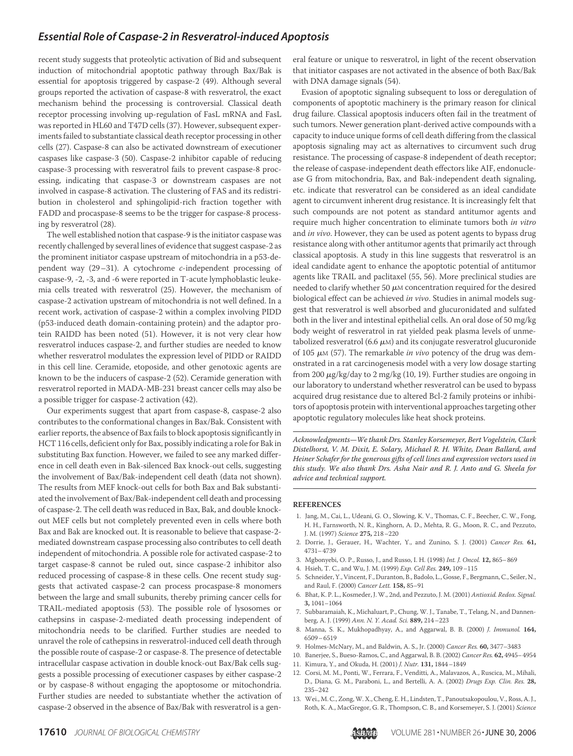recent study suggests that proteolytic activation of Bid and subsequent induction of mitochondrial apoptotic pathway through Bax/Bak is essential for apoptosis triggered by caspase-2 (49). Although several groups reported the activation of caspase-8 with resveratrol, the exact mechanism behind the processing is controversial. Classical death receptor processing involving up-regulation of FasL mRNA and FasL was reported in HL60 and T47D cells (37). However, subsequent experiments failed to substantiate classical death receptor processing in other cells (27). Caspase-8 can also be activated downstream of executioner caspases like caspase-3 (50). Caspase-2 inhibitor capable of reducing caspase-3 processing with resveratrol fails to prevent caspase-8 processing, indicating that caspase-3 or downstream caspases are not involved in caspase-8 activation. The clustering of FAS and its redistribution in cholesterol and sphingolipid-rich fraction together with FADD and procaspase-8 seems to be the trigger for caspase-8 processing by resveratrol (28).

The well established notion that caspase-9 is the initiator caspase was recently challenged by several lines of evidence that suggest caspase-2 as the prominent initiator caspase upstream of mitochondria in a p53-dependent way (29–31). A cytochrome *c*-independent processing of caspase-9, -2, -3, and -6 were reported in T-acute lymphoblastic leukemia cells treated with resveratrol (25). However, the mechanism of caspase-2 activation upstream of mitochondria is not well defined. In a recent work, activation of caspase-2 within a complex involving PIDD (p53-induced death domain-containing protein) and the adaptor protein RAIDD has been noted (51). However, it is not very clear how resveratrol induces caspase-2, and further studies are needed to know whether resveratrol modulates the expression level of PIDD or RAIDD in this cell line. Ceramide, etoposide, and other genotoxic agents are known to be the inducers of caspase-2 (52). Ceramide generation with resveratrol reported in MADA-MB-231 breast cancer cells may also be a possible trigger for caspase-2 activation (42).

Our experiments suggest that apart from caspase-8, caspase-2 also contributes to the conformational changes in Bax/Bak. Consistent with earlier reports, the absence of Bax fails to block apoptosis significantly in HCT 116 cells, deficient only for Bax, possibly indicating a role for Bak in substituting Bax function. However, we failed to see any marked difference in cell death even in Bak-silenced Bax knock-out cells, suggesting the involvement of Bax/Bak-independent cell death (data not shown). The results from MEF knock-out cells for both Bax and Bak substantiated the involvement of Bax/Bak-independent cell death and processing of caspase-2. The cell death was reduced in Bax, Bak, and double knockout MEF cells but not completely prevented even in cells where both Bax and Bak are knocked out. It is reasonable to believe that caspase-2 mediated downstream caspase processing also contributes to cell death independent of mitochondria. A possible role for activated caspase-2 to target caspase-8 cannot be ruled out, since caspase-2 inhibitor also reduced processing of caspase-8 in these cells. One recent study suggests that activated caspase-2 can process procaspase-8 monomers between the large and small subunits, thereby priming cancer cells for TRAIL-mediated apoptosis (53). The possible role of lysosomes or cathepsins in caspase-2-mediated death processing independent of mitochondria needs to be clarified. Further studies are needed to unravel the role of cathepsins in resveratrol-induced cell death through the possible route of caspase-2 or caspase-8. The presence of detectable intracellular caspase activation in double knock-out Bax/Bak cells suggests a possible processing of executioner caspases by either caspase-2 or by caspase-8 without engaging the apoptosome or mitochondria. Further studies are needed to substantiate whether the activation of caspase-2 observed in the absence of Bax/Bak with resveratrol is a general feature or unique to resveratrol, in light of the recent observation that initiator caspases are not activated in the absence of both Bax/Bak with DNA damage signals (54).

Evasion of apoptotic signaling subsequent to loss or deregulation of components of apoptotic machinery is the primary reason for clinical drug failure. Classical apoptosis inducers often fail in the treatment of such tumors. Newer generation plant-derived active compounds with a capacity to induce unique forms of cell death differing from the classical apoptosis signaling may act as alternatives to circumvent such drug resistance. The processing of caspase-8 independent of death receptor; the release of caspase-independent death effectors like AIF, endonuclease G from mitochondria, Bax, and Bak-independent death signaling, etc. indicate that resveratrol can be considered as an ideal candidate agent to circumvent inherent drug resistance. It is increasingly felt that such compounds are not potent as standard antitumor agents and require much higher concentration to eliminate tumors both *in vitro* and *in vivo*. However, they can be used as potent agents to bypass drug resistance along with other antitumor agents that primarily act through classical apoptosis. A study in this line suggests that resveratrol is an ideal candidate agent to enhance the apoptotic potential of antitumor agents like TRAIL and paclitaxel (55, 56). More preclinical studies are needed to clarify whether 50  $\mu$ M concentration required for the desired biological effect can be achieved *in vivo*. Studies in animal models suggest that resveratrol is well absorbed and glucuronidated and sulfated both in the liver and intestinal epithelial cells. An oral dose of 50 mg/kg body weight of resveratrol in rat yielded peak plasma levels of unmetabolized resveratrol (6.6  $\mu$ M) and its conjugate resveratrol glucuronide of 105 μ*M* (57). The remarkable *in vivo* potency of the drug was demonstrated in a rat carcinogenesis model with a very low dosage starting from 200  $\mu$ g/kg/day to 2 mg/kg (10, 19). Further studies are ongoing in our laboratory to understand whether resveratrol can be used to bypass acquired drug resistance due to altered Bcl-2 family proteins or inhibitors of apoptosis protein with interventional approaches targeting other apoptotic regulatory molecules like heat shock proteins.

Acknowledgments—We thank Drs. Stanley Korsemeyer, Bert Vogelstein, Clark Distelhorst, V. M. Dixit, E. Solary, Michael R. H. White, Dean Ballard, and Heiner Schafer for the generous gifts of cell lines and expression vectors used in this study. We also thank Drs. Asha Nair and R. J. Anto and G. Sheela for advice and technical support.

#### **REFERENCES**

- 1. Jang, M., Cai, L., Udeani, G. O., Slowing, K. V., Thomas, C. F., Beecher, C. W., Fong, H. H., Farnsworth, N. R., Kinghorn, A. D., Mehta, R. G., Moon, R. C., and Pezzuto, J. M. (1997) *Science* **275,** 218–220
- 2. Dorrie, J., Gerauer, H., Wachter, Y., and Zunino, S. J. (2001) *Cancer Res.* **61,** 4731–4739
- 3. Mgbonyebi, O. P., Russo, J., and Russo, I. H. (1998) *Int. J. Oncol.* **12,** 865–869
- 4. Hsieh, T. C., and Wu, J. M. (1999) *Exp. Cell Res.* **249,** 109–115
- 5. Schneider, Y., Vincent, F., Duranton, B., Badolo, L., Gosse, F., Bergmann, C., Seiler, N., and Raul, F. (2000) *Cancer Lett.* **158,** 85–91
- 6. Bhat, K. P. L., Kosmeder, J. W., 2nd, and Pezzuto, J. M. (2001) *Antioxid. Redox. Signal.* **3,** 1041–1064
- 7. Subbaramaiah, K., Michaluart, P., Chung, W. J., Tanabe, T., Telang, N., and Dannenberg, A. J. (1999) *Ann. N. Y. Acad. Sci.* **889,** 214–223
- 8. Manna, S. K., Mukhopadhyay, A., and Aggarwal, B. B. (2000) *J. Immunol.* **164,** 6509–6519
- 9. Holmes-McNary, M., and Baldwin, A. S., Jr. (2000) *Cancer Res.* **60,** 3477–3483
- 10. Banerjee, S., Bueso-Ramos, C., and Aggarwal, B. B. (2002) *Cancer Res.* **62,** 4945–4954 11. Kimura, Y., and Okuda, H. (2001) *J. Nutr.* **131,** 1844–1849
- 12. Corsi, M. M., Ponti, W., Ferrara, F., Venditti, A., Malavazos, A., Ruscica, M., Mihali, D., Diana, G. M., Paraboni, L., and Bertelli, A. A. (2002) *Drugs Exp. Clin. Res.* **28,** 235–242
- 13. Wei., M. C., Zong, W. X., Cheng, E. H., Lindsten, T., Panoutsakopoulou, V., Ross, A. J., Roth, K. A., MacGregor, G. R., Thompson, C. B., and Korsemeyer, S. J. (2001) *Science*